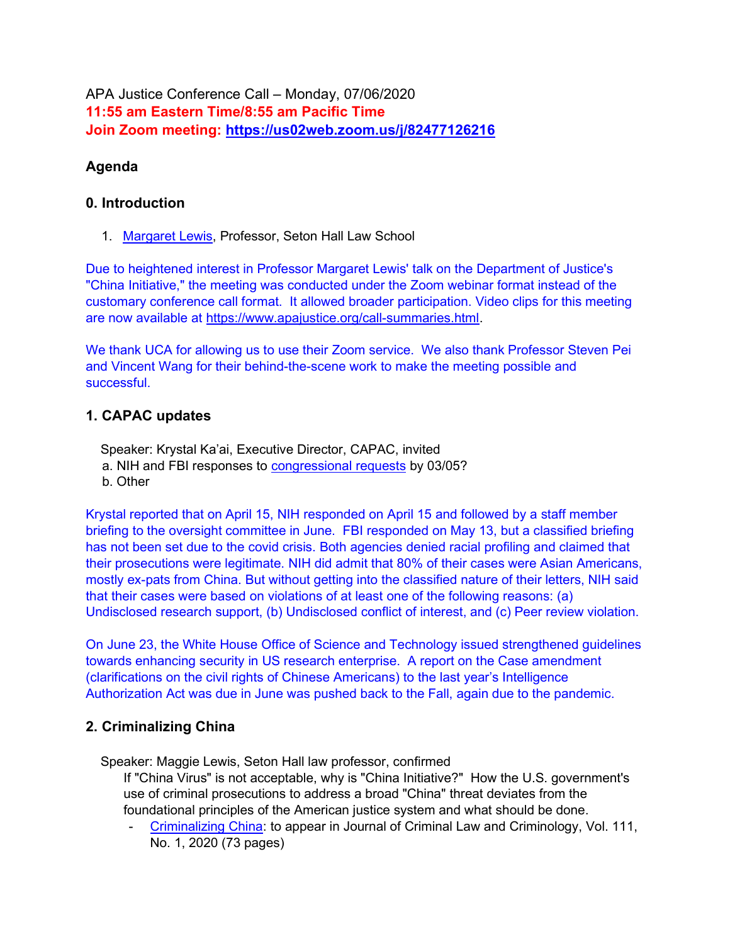APA Justice Conference Call – Monday, 07/06/2020 11:55 am Eastern Time/8:55 am Pacific Time Join Zoom meeting: https://us02web.zoom.us/j/82477126216

## Agenda

#### 0. Introduction

1. Margaret Lewis, Professor, Seton Hall Law School

Due to heightened interest in Professor Margaret Lewis' talk on the Department of Justice's "China Initiative," the meeting was conducted under the Zoom webinar format instead of the customary conference call format. It allowed broader participation. Video clips for this meeting are now available at https://www.apajustice.org/call-summaries.html.

We thank UCA for allowing us to use their Zoom service. We also thank Professor Steven Pei and Vincent Wang for their behind-the-scene work to make the meeting possible and successful.

### 1. CAPAC updates

Speaker: Krystal Ka'ai, Executive Director, CAPAC, invited

- a. NIH and FBI responses to **congressional requests** by 03/05?
- b. Other

Krystal reported that on April 15, NIH responded on April 15 and followed by a staff member briefing to the oversight committee in June. FBI responded on May 13, but a classified briefing has not been set due to the covid crisis. Both agencies denied racial profiling and claimed that their prosecutions were legitimate. NIH did admit that 80% of their cases were Asian Americans, mostly ex-pats from China. But without getting into the classified nature of their letters, NIH said that their cases were based on violations of at least one of the following reasons: (a) Undisclosed research support, (b) Undisclosed conflict of interest, and (c) Peer review violation.

On June 23, the White House Office of Science and Technology issued strengthened guidelines towards enhancing security in US research enterprise. A report on the Case amendment (clarifications on the civil rights of Chinese Americans) to the last year's Intelligence Authorization Act was due in June was pushed back to the Fall, again due to the pandemic.

## 2. Criminalizing China

Speaker: Maggie Lewis, Seton Hall law professor, confirmed

If "China Virus" is not acceptable, why is "China Initiative?" How the U.S. government's use of criminal prosecutions to address a broad "China" threat deviates from the foundational principles of the American justice system and what should be done.

- Criminalizing China: to appear in Journal of Criminal Law and Criminology, Vol. 111, No. 1, 2020 (73 pages)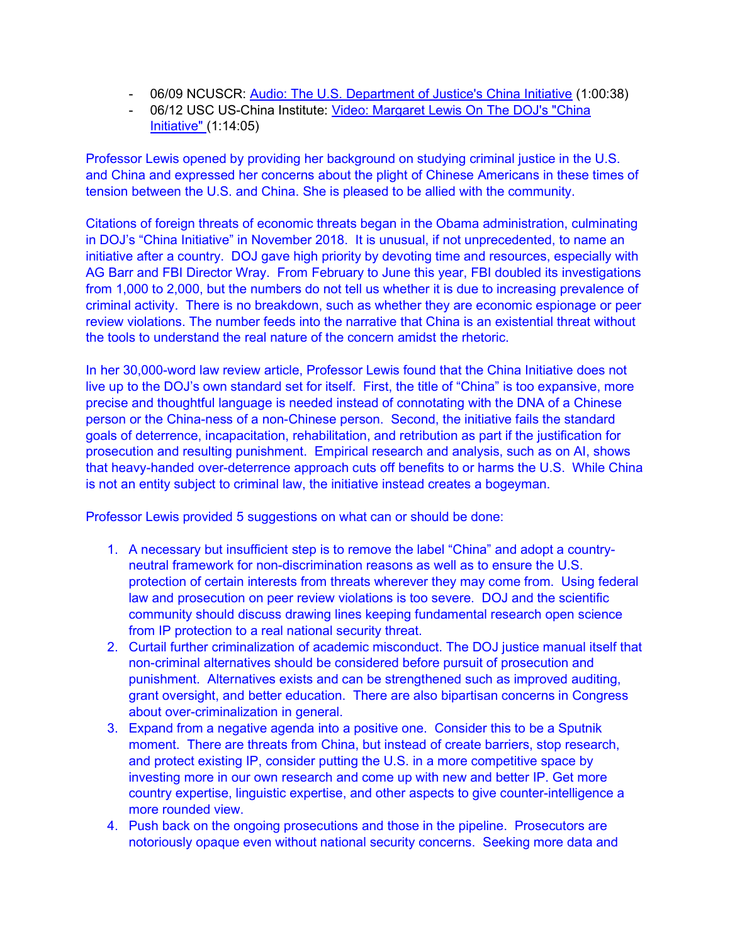- 06/09 NCUSCR: Audio: The U.S. Department of Justice's China Initiative (1:00:38)
- 06/12 USC US-China Institute: Video: Margaret Lewis On The DOJ's "China Initiative" (1:14:05)

Professor Lewis opened by providing her background on studying criminal justice in the U.S. and China and expressed her concerns about the plight of Chinese Americans in these times of tension between the U.S. and China. She is pleased to be allied with the community.

Citations of foreign threats of economic threats began in the Obama administration, culminating in DOJ's "China Initiative" in November 2018. It is unusual, if not unprecedented, to name an initiative after a country. DOJ gave high priority by devoting time and resources, especially with AG Barr and FBI Director Wray. From February to June this year, FBI doubled its investigations from 1,000 to 2,000, but the numbers do not tell us whether it is due to increasing prevalence of criminal activity. There is no breakdown, such as whether they are economic espionage or peer review violations. The number feeds into the narrative that China is an existential threat without the tools to understand the real nature of the concern amidst the rhetoric.

In her 30,000-word law review article, Professor Lewis found that the China Initiative does not live up to the DOJ's own standard set for itself. First, the title of "China" is too expansive, more precise and thoughtful language is needed instead of connotating with the DNA of a Chinese person or the China-ness of a non-Chinese person. Second, the initiative fails the standard goals of deterrence, incapacitation, rehabilitation, and retribution as part if the justification for prosecution and resulting punishment. Empirical research and analysis, such as on AI, shows that heavy-handed over-deterrence approach cuts off benefits to or harms the U.S. While China is not an entity subject to criminal law, the initiative instead creates a bogeyman.

Professor Lewis provided 5 suggestions on what can or should be done:

- 1. A necessary but insufficient step is to remove the label "China" and adopt a countryneutral framework for non-discrimination reasons as well as to ensure the U.S. protection of certain interests from threats wherever they may come from. Using federal law and prosecution on peer review violations is too severe. DOJ and the scientific community should discuss drawing lines keeping fundamental research open science from IP protection to a real national security threat.
- 2. Curtail further criminalization of academic misconduct. The DOJ justice manual itself that non-criminal alternatives should be considered before pursuit of prosecution and punishment. Alternatives exists and can be strengthened such as improved auditing, grant oversight, and better education. There are also bipartisan concerns in Congress about over-criminalization in general.
- 3. Expand from a negative agenda into a positive one. Consider this to be a Sputnik moment. There are threats from China, but instead of create barriers, stop research, and protect existing IP, consider putting the U.S. in a more competitive space by investing more in our own research and come up with new and better IP. Get more country expertise, linguistic expertise, and other aspects to give counter-intelligence a more rounded view.
- 4. Push back on the ongoing prosecutions and those in the pipeline. Prosecutors are notoriously opaque even without national security concerns. Seeking more data and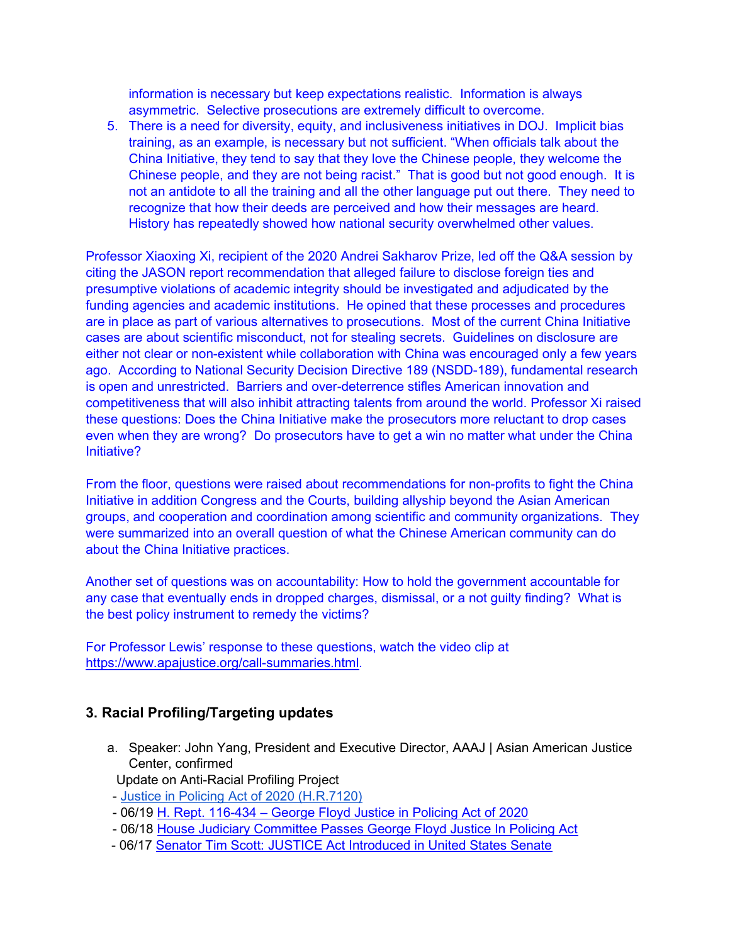information is necessary but keep expectations realistic. Information is always asymmetric. Selective prosecutions are extremely difficult to overcome.

5. There is a need for diversity, equity, and inclusiveness initiatives in DOJ. Implicit bias training, as an example, is necessary but not sufficient. "When officials talk about the China Initiative, they tend to say that they love the Chinese people, they welcome the Chinese people, and they are not being racist." That is good but not good enough. It is not an antidote to all the training and all the other language put out there. They need to recognize that how their deeds are perceived and how their messages are heard. History has repeatedly showed how national security overwhelmed other values.

Professor Xiaoxing Xi, recipient of the 2020 Andrei Sakharov Prize, led off the Q&A session by citing the JASON report recommendation that alleged failure to disclose foreign ties and presumptive violations of academic integrity should be investigated and adjudicated by the funding agencies and academic institutions. He opined that these processes and procedures are in place as part of various alternatives to prosecutions. Most of the current China Initiative cases are about scientific misconduct, not for stealing secrets. Guidelines on disclosure are either not clear or non-existent while collaboration with China was encouraged only a few years ago. According to National Security Decision Directive 189 (NSDD-189), fundamental research is open and unrestricted. Barriers and over-deterrence stifles American innovation and competitiveness that will also inhibit attracting talents from around the world. Professor Xi raised these questions: Does the China Initiative make the prosecutors more reluctant to drop cases even when they are wrong? Do prosecutors have to get a win no matter what under the China Initiative?

From the floor, questions were raised about recommendations for non-profits to fight the China Initiative in addition Congress and the Courts, building allyship beyond the Asian American groups, and cooperation and coordination among scientific and community organizations. They were summarized into an overall question of what the Chinese American community can do about the China Initiative practices.

Another set of questions was on accountability: How to hold the government accountable for any case that eventually ends in dropped charges, dismissal, or a not guilty finding? What is the best policy instrument to remedy the victims?

For Professor Lewis' response to these questions, watch the video clip at https://www.apajustice.org/call-summaries.html.

#### 3. Racial Profiling/Targeting updates

- a. Speaker: John Yang, President and Executive Director, AAAJ | Asian American Justice Center, confirmed
- Update on Anti-Racial Profiling Project
- Justice in Policing Act of 2020 (H.R.7120)
- 06/19 H. Rept. 116-434 George Floyd Justice in Policing Act of 2020
- 06/18 House Judiciary Committee Passes George Floyd Justice In Policing Act
- 06/17 Senator Tim Scott: JUSTICE Act Introduced in United States Senate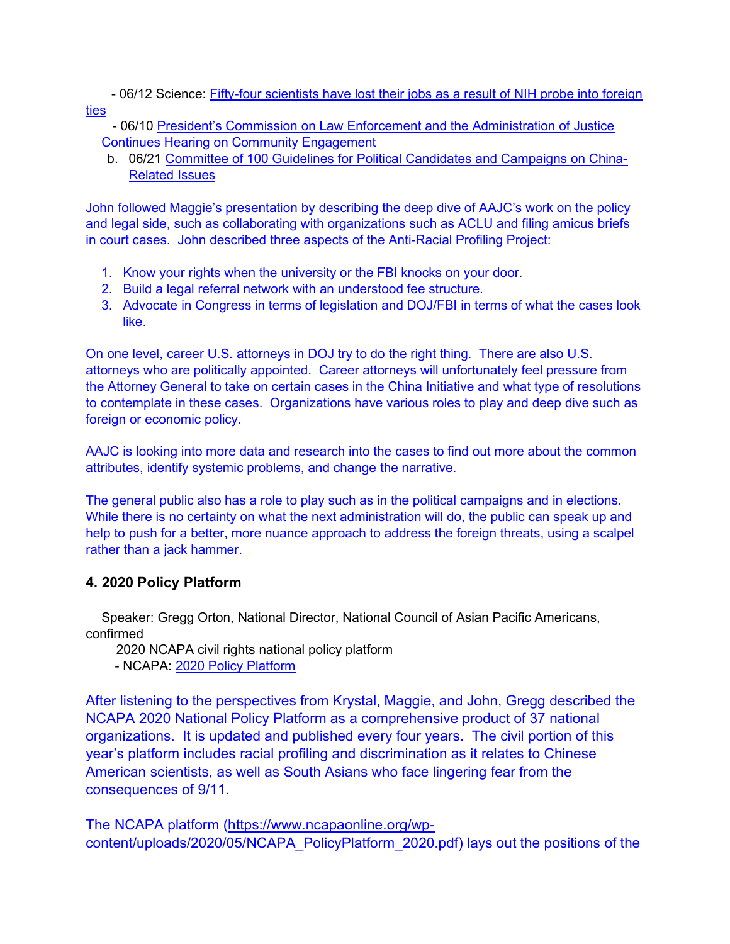- 06/12 Science: Fifty-four scientists have lost their jobs as a result of NIH probe into foreign ties

 - 06/10 President's Commission on Law Enforcement and the Administration of Justice Continues Hearing on Community Engagement

b. 06/21 Committee of 100 Guidelines for Political Candidates and Campaigns on China-Related Issues

John followed Maggie's presentation by describing the deep dive of AAJC's work on the policy and legal side, such as collaborating with organizations such as ACLU and filing amicus briefs in court cases. John described three aspects of the Anti-Racial Profiling Project:

- 1. Know your rights when the university or the FBI knocks on your door.
- 2. Build a legal referral network with an understood fee structure.
- 3. Advocate in Congress in terms of legislation and DOJ/FBI in terms of what the cases look like.

On one level, career U.S. attorneys in DOJ try to do the right thing. There are also U.S. attorneys who are politically appointed. Career attorneys will unfortunately feel pressure from the Attorney General to take on certain cases in the China Initiative and what type of resolutions to contemplate in these cases. Organizations have various roles to play and deep dive such as foreign or economic policy.

AAJC is looking into more data and research into the cases to find out more about the common attributes, identify systemic problems, and change the narrative.

The general public also has a role to play such as in the political campaigns and in elections. While there is no certainty on what the next administration will do, the public can speak up and help to push for a better, more nuance approach to address the foreign threats, using a scalpel rather than a jack hammer.

## 4. 2020 Policy Platform

Speaker: Gregg Orton, National Director, National Council of Asian Pacific Americans, confirmed

2020 NCAPA civil rights national policy platform

- NCAPA: 2020 Policy Platform

After listening to the perspectives from Krystal, Maggie, and John, Gregg described the NCAPA 2020 National Policy Platform as a comprehensive product of 37 national organizations. It is updated and published every four years. The civil portion of this year's platform includes racial profiling and discrimination as it relates to Chinese American scientists, as well as South Asians who face lingering fear from the consequences of 9/11.

The NCAPA platform (https://www.ncapaonline.org/wpcontent/uploads/2020/05/NCAPA\_PolicyPlatform\_2020.pdf) lays out the positions of the